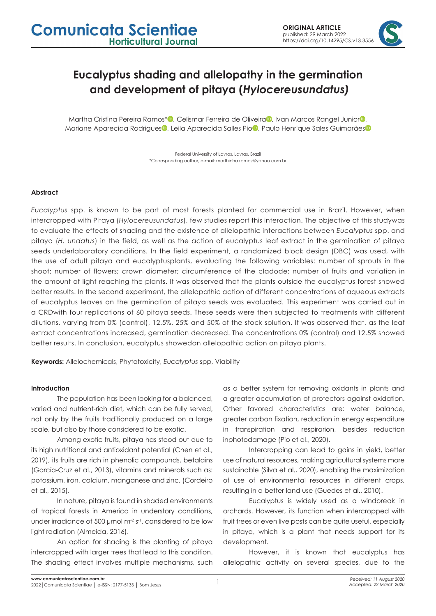# **Eucalyptus shading and allelopathy in the germination and development of pitaya (***Hylocereusundatus)*

Martha Cristina Pereira Ramos[\\*](https://orcid.org/0000-0003-1930-6723)<sup>1</sup>, Celism[a](https://orcid.org/0000-0001-6999-5411)[r](https://orcid.org/0000-0001-5878-3819) Ferreira de Oliveira<sup>1</sup>, Ivan Marcos Rangel Junior<sup>1</sup>, Mariane Aparecida Rodrigue[s](https://orcid.org/0000-0001-9158-1688)<sup>1</sup>, Leila Aparecida Salles Pi[o](https://orcid.org/0000-0001-5246-5035)<sup>1</sup>, Paulo Henrique Sales Guimarães<sup>1</sup>

> Federal University of Lavras, Lavras, Brazil \*Corresponding author, e-mail: marthinha.ramos@yahoo.com.br

### **Abstract**

*Eucalyptus* spp. is known to be part of most forests planted for commercial use in Brazil. However, when intercropped with Pitaya (*Hylocereusundatus*), few studies report this interaction. The objective of this studywas to evaluate the effects of shading and the existence of allelopathic interactions between *Eucalyptus* spp. and pitaya (*H. undatus*) in the field, as well as the action of eucalyptus leaf extract in the germination of pitaya seeds underlaboratory conditions. In the field experiment, a randomized block design (DBC) was used, with the use of adult pitaya and eucalyptusplants, evaluating the following variables: number of sprouts in the shoot; number of flowers; crown diameter; circumference of the cladode; number of fruits and variation in the amount of light reaching the plants. It was observed that the plants outside the eucalyptus forest showed better results. In the second experiment, the allelopathic action of different concentrations of aqueous extracts of eucalyptus leaves on the germination of pitaya seeds was evaluated. This experiment was carried out in a CRDwith four replications of 60 pitaya seeds. These seeds were then subjected to treatments with different dilutions, varying from 0% (control), 12.5%, 25% and 50% of the stock solution. It was observed that, as the leaf extract concentrations increased, germination decreased. The concentrations 0% (control) and 12.5% showed better results. In conclusion, eucalyptus showedan allelopathic action on pitaya plants.

**Keywords:** Allelochemicals, Phytotoxicity, *Eucalyptus* spp, Viability

#### **Introduction**

The population has been looking for a balanced, varied and nutrient-rich diet, which can be fully served, not only by the fruits traditionally produced on a large scale, but also by those considered to be exotic.

Among exotic fruits, pitaya has stood out due to its high nutritional and antioxidant potential (Chen et al., 2019), its fruits are rich in phenolic compounds, betalains (García-Cruz et al., 2013), vitamins and minerals such as: potassium, iron, calcium, manganese and zinc, (Cordeiro et al., 2015).

In nature, pitaya is found in shaded environments of tropical forests in America in understory conditions, under irradiance of 500 µmol m<sup>-2</sup> s<sup>-1</sup>, considered to be low light radiation (Almeida, 2016).

An option for shading is the planting of pitaya intercropped with larger trees that lead to this condition. The shading effect involves multiple mechanisms, such as a better system for removing oxidants in plants and a greater accumulation of protectors against oxidation. Other favored characteristics are: water balance, greater carbon fixation, reduction in energy expenditure in transpiration and respirarion, besides reduction inphotodamage (Pio et al., 2020).

Intercropping can lead to gains in yield, better use of natural resources, making agricultural systems more sustainable (Silva et al., 2020), enabling the maximization of use of environmental resources in different crops, resulting in a better land use (Guedes et al., 2010).

Eucalyptus is widely used as a windbreak in orchards. However, its function when intercropped with fruit trees or even live posts can be quite useful, especially in pitaya, which is a plant that needs support for its development.

However, it is known that eucalyptus has allelopathic activity on several species, due to the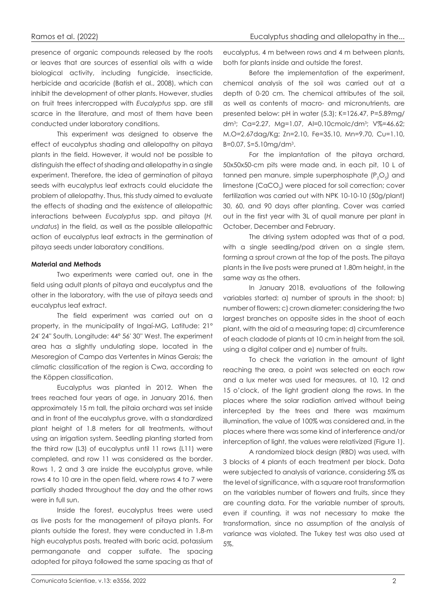presence of organic compounds released by the roots or leaves that are sources of essential oils with a wide biological activity, including fungicide, insecticide, herbicide and acaricide (Batish et al., 2008), which can inhibit the development of other plants. However, studies on fruit trees intercropped with *Eucalyptus* spp. are still scarce in the literature, and most of them have been conducted under laboratory conditions.

This experiment was designed to observe the effect of eucalyptus shading and allelopathy on pitaya plants in the field. However, it would not be possible to distinguish the effect of shading and allelopathy in a single experiment. Therefore, the idea of germination of pitaya seeds with eucalyptus leaf extracts could elucidate the problem of allelopathy. Thus, this study aimed to evaluate the effects of shading and the existence of allelopathic interactions between *Eucalyptus* spp. and pitaya (*H. undatus*) in the field, as well as the possible allelopathic action of eucalyptus leaf extracts in the germination of pitaya seeds under laboratory conditions.

### **Material and Methods**

Two experiments were carried out, one in the field using adult plants of pitaya and eucalyptus and the other in the laboratory, with the use of pitaya seeds and eucalyptus leaf extract.

The field experiment was carried out on a property, in the municipality of Ingaí-MG, Latitude: 21° 24' 24'' South, Longitude: 44° 56' 30'' West. The experiment area has a slightly undulating slope, located in the Mesoregion of Campo das Vertentes in Minas Gerais; the climatic classification of the region is Cwa, according to the Köppen classification.

Eucalyptus was planted in 2012. When the trees reached four years of age, in January 2016, then approximately 15 m tall, the pitaia orchard was set inside and in front of the eucalyptus grove, with a standardized plant height of 1.8 meters for all treatments, without using an irrigation system. Seedling planting started from the third row (L3) of eucalyptus until 11 rows (L11) were completed, and row 11 was considered as the border. Rows 1, 2 and 3 are inside the eucalyptus grove, while rows 4 to 10 are in the open field, where rows 4 to 7 were partially shaded throughout the day and the other rows were in full sun.

Inside the forest, eucalyptus trees were used as live posts for the management of pitaya plants. For plants outside the forest, they were conducted in 1.8-m high eucalyptus posts, treated with boric acid, potassium permanganate and copper sulfate. The spacing adopted for pitaya followed the same spacing as that of

eucalyptus, 4 m between rows and 4 m between plants, both for plants inside and outside the forest.

Before the implementation of the experiment, chemical analysis of the soil was carried out at a depth of 0-20 cm. The chemical attributes of the soil, as well as contents of macro- and micronutrients, are presented below: pH in water (5.3); K=126.47, P=5.89mg/ dm3 ; Ca=2.27, Mg=1.07, Al=0.10cmolc/dm3 ; V%=46.62; M.O=2.67dag/Kg; Zn=2.10, Fe=35.10, Mn=9.70, Cu=1.10, B=0.07, S=5.10mg/dm3 .

For the implantation of the pitaya orchard, 50x50x50-cm pits were made and, in each pit, 10 L of tanned pen manure, simple superphosphate  $(P_2O_5)$  and limestone (CaCO<sub>3</sub>) were placed for soil correction; cover fertilization was carried out with NPK 10-10-10 (50g/plant) 30, 60, and 90 days after planting. Cover was carried out in the first year with 3L of quail manure per plant in October, December and February.

The driving system adopted was that of a pod, with a single seedling/pod driven on a single stem, forming a sprout crown at the top of the posts. The pitaya plants in the live posts were pruned at 1.80m height, in the same way as the others.

In January 2018, evaluations of the following variables started: a) number of sprouts in the shoot; b) number of flowers; c) crown diameter: considering the two largest branches on opposite sides in the shoot of each plant, with the aid of a measuring tape; d) circumference of each cladode of plants at 10 cm in height from the soil, using a digital caliper and e) number of fruits.

To check the variation in the amount of light reaching the area, a point was selected on each row and a lux meter was used for measures, at 10, 12 and 15 o'clock, of the light gradient along the rows. In the places where the solar radiation arrived without being intercepted by the trees and there was maximum illumination, the value of 100% was considered and, in the places where there was some kind of interference and/or interception of light, the values were relativized (Figure 1).

A randomized block design (RBD) was used, with 3 blocks of 4 plants of each treatment per block. Data were subjected to analysis of variance, considering 5% as the level of significance, with a square root transformation on the variables number of flowers and fruits, since they are counting data. For the variable number of sprouts, even if counting, it was not necessary to make the transformation, since no assumption of the analysis of variance was violated. The Tukey test was also used at 5%.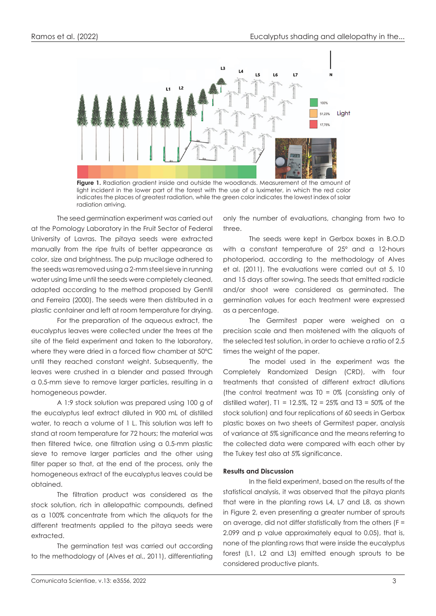

**Figure 1.** Radiation gradient inside and outside the woodlands. Measurement of the amount of light incident in the lower part of the forest with the use of a luximeter, in which the red color indicates the places of greatest radiation, while the green color indicates the lowest index of solar radiation arriving.

The seed germination experiment was carried out at the Pomology Laboratory in the Fruit Sector of Federal University of Lavras. The pitaya seeds were extracted manually from the ripe fruits of better appearance as color, size and brightness. The pulp mucilage adhered to the seeds was removed using a 2-mm steel sieve in running water using lime until the seeds were completely cleaned, adapted according to the method proposed by Gentil and Ferreira (2000). The seeds were then distributed in a plastic container and left at room temperature for drying.

For the preparation of the aqueous extract, the eucalyptus leaves were collected under the trees at the site of the field experiment and taken to the laboratory, where they were dried in a forced flow chamber at 50ºC until they reached constant weight. Subsequently, the leaves were crushed in a blender and passed through a 0.5-mm sieve to remove larger particles, resulting in a homogeneous powder.

A 1:9 stock solution was prepared using 100 g of the eucalyptus leaf extract diluted in 900 mL of distilled water, to reach a volume of 1 L. This solution was left to stand at room temperature for 72 hours; the material was then filtered twice, one filtration using a 0.5-mm plastic sieve to remove larger particles and the other using filter paper so that, at the end of the process, only the homogeneous extract of the eucalyptus leaves could be obtained.

The filtration product was considered as the stock solution, rich in allelopathic compounds, defined as a 100% concentrate from which the aliquots for the different treatments applied to the pitaya seeds were extracted.

The germination test was carried out according to the methodology of (Alves et al., 2011), differentiating

only the number of evaluations, changing from two to three.

The seeds were kept in Gerbox boxes in B.O.D with a constant temperature of 25º and a 12-hours photoperiod, according to the methodology of Alves et al. (2011). The evaluations were carried out at 5, 10 and 15 days after sowing. The seeds that emitted radicle and/or shoot were considered as germinated. The germination values for each treatment were expressed as a percentage.

The Germitest paper were weighed on a precision scale and then moistened with the aliquots of the selected test solution, in order to achieve a ratio of 2.5 times the weight of the paper.

The model used in the experiment was the Completely Randomized Design (CRD), with four treatments that consisted of different extract dilutions (the control treatment was  $TO = 0\%$  (consisting only of distilled water),  $T1 = 12.5\%$ ,  $T2 = 25\%$  and  $T3 = 50\%$  of the stock solution) and four replications of 60 seeds in Gerbox plastic boxes on two sheets of Germitest paper, analysis of variance at 5% significance and the means referring to the collected data were compared with each other by the Tukey test also at 5% significance.

## **Results and Discussion**

In the field experiment, based on the results of the statistical analysis, it was observed that the pitaya plants that were in the planting rows L4, L7 and L8, as shown in Figure 2, even presenting a greater number of sprouts on average, did not differ statistically from the others (F = 2.099 and p value approximately equal to 0.05), that is, none of the planting rows that were inside the eucalyptus forest (L1, L2 and L3) emitted enough sprouts to be considered productive plants.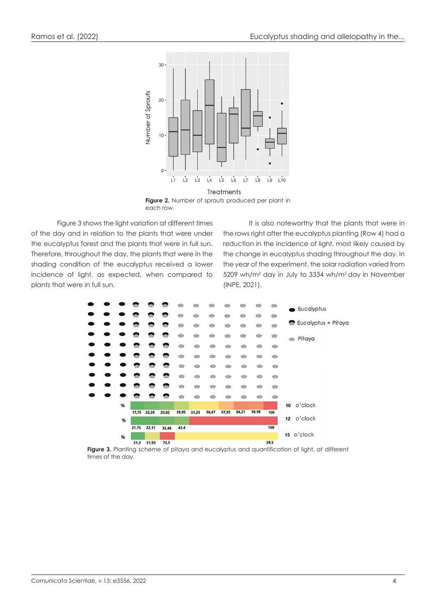

each row.

Figure 3 shows the light variation at different times of the day and in relation to the plants that were under the eucalyptus forest and the plants that were in full sun. Therefore, throughout the day, the plants that were in the shading condition of the eucalyptus received a lower incidence of light, as expected, when compared to plants that were in full sun.

It is also noteworthy that the plants that were in the rows right after the eucalyptus planting (Row 4) had a reduction in the incidence of light, most likely caused by the change in eucalyptus shading throughout the day. In the year of the experiment, the solar radiation varied from 5209 wh/m2 day in July to 3334 wh/m2 day in November (INPE, 2021).



**Figure 3.** Planting scheme of pitaya and eucalyptus and quantification of light, at different times of the day.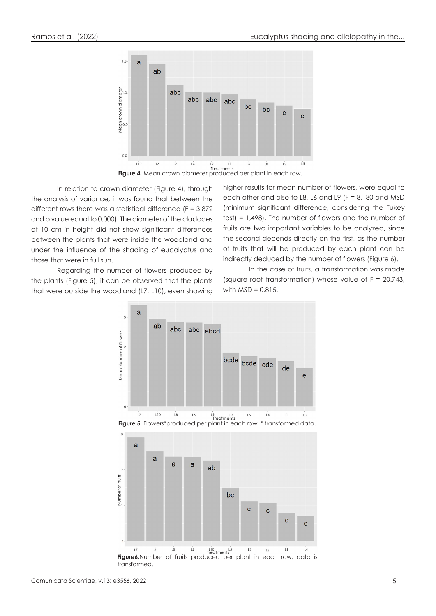

**Figure 4.** Mean crown diameter produced per plant in each row.

In relation to crown diameter (Figure 4), through the analysis of variance, it was found that between the different rows there was a statistical difference ( $F = 3.872$ ) and p value equal to 0.000). The diameter of the cladodes at 10 cm in height did not show significant differences between the plants that were inside the woodland and under the influence of the shading of eucalyptus and those that were in full sun.

higher results for mean number of flowers, were equal to each other and also to L8, L6 and L9 (F = 8,180 and MSD (minimum significant difference, considering the Tukey test) = 1,498), The number of flowers and the number of fruits are two important variables to be analyzed, since the second depends directly on the first, as the number of fruits that will be produced by each plant can be indirectly deduced by the number of flowers (Figure 6).

Regarding the number of flowers produced by the plants (Figure 5), it can be observed that the plants that were outside the woodland (L7, L10), even showing

In the case of fruits, a transformation was made (square root transformation) whose value of F = 20.743, with  $MSD = 0.815$ .

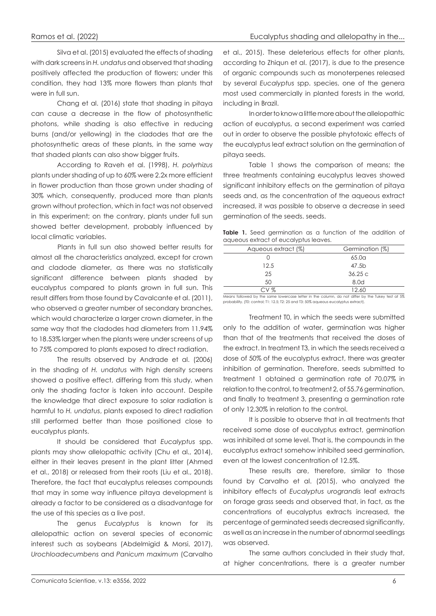Silva et al. (2015) evaluated the effects of shading with dark screens in *H. undatus* and observed that shading positively affected the production of flowers; under this condition, they had 13% more flowers than plants that were in full sun.

Chang et al. (2016) state that shading in pitaya can cause a decrease in the flow of photosynthetic photons, while shading is also effective in reducing burns (and/or yellowing) in the cladodes that are the photosynthetic areas of these plants, in the same way that shaded plants can also show bigger fruits.

According to Raveh et al. (1998), *H. polyrhizus* plants under shading of up to 60% were 2.2x more efficient in flower production than those grown under shading of 30% which, consequently, produced more than plants grown without protection, which in fact was not observed in this experiment; on the contrary, plants under full sun showed better development, probably influenced by local climatic variables.

Plants in full sun also showed better results for almost all the characteristics analyzed, except for crown and cladode diameter, as there was no statistically significant difference between plants shaded by eucalyptus compared to plants grown in full sun. This result differs from those found by Cavalcante et al. (2011), who observed a greater number of secondary branches, which would characterize a larger crown diameter, in the same way that the cladodes had diameters from 11.94% to 18.53% larger when the plants were under screens of up to 75% compared to plants exposed to direct radiation.

The results observed by Andrade et al. (2006) in the shading of *H. undatus* with high density screens showed a positive effect, differing from this study, when only the shading factor is taken into account. Despite the knowledge that direct exposure to solar radiation is harmful to *H. undatus*, plants exposed to direct radiation still performed better than those positioned close to eucalyptus plants.

It should be considered that *Eucalyptus* spp. plants may show allelopathic activity (Chu et al., 2014), either in their leaves present in the plant litter (Ahmed et al., 2018) or released from their roots (Liu et al., 2018). Therefore, the fact that eucalyptus releases compounds that may in some way influence pitaya development is already a factor to be considered as a disadvantage for the use of this species as a live post.

The genus *Eucalyptus* is known for its allelopathic action on several species of economic interest such as soybeans (Abdelmigid & Morsi, 2017), *Urochloadecumbens* and *Panicum maximum* (Carvalho

et al., 2015). These deleterious effects for other plants, according to Zhiqun et al. (2017), is due to the presence of organic compounds such as monoterpenes released by several *Eucalyptus* spp. species, one of the genera most used commercially in planted forests in the world, including in Brazil.

In order to know a little more about the allelopathic action of eucalyptus, a second experiment was carried out in order to observe the possible phytotoxic effects of the eucalyptus leaf extract solution on the germination of pitaya seeds.

Table 1 shows the comparison of means; the three treatments containing eucalyptus leaves showed significant inhibitory effects on the germination of pitaya seeds and, as the concentration of the aqueous extract increased, it was possible to observe a decrease in seed germination of the seeds. seeds.

**Table 1.** Seed germination as a function of the addition of aqueous extract of eucalyptus leaves.

| Aqueous extract (%) | Germination (%)   |
|---------------------|-------------------|
|                     | 65.0 <sub>a</sub> |
| 12.5                | 47.5b             |
| 25                  | 36.25c            |
| 50                  | 8.0d              |
| CV %                | 12.60             |
| .<br>.              | _ _ _ _ _ _ _ _   |

in the column, do not differ by the Tukey test at 5% probability. (T0: control; T1: 12.5; T2: 25 and T3: 50% aqueous eucalyptus extract).

Treatment T0, in which the seeds were submitted only to the addition of water, germination was higher than that of the treatments that received the doses of the extract. In treatment T3, in which the seeds received a dose of 50% of the eucalyptus extract, there was greater inhibition of germination. Therefore, seeds submitted to treatment 1 obtained a germination rate of 70.07% in relation to the control, to treatment 2, of 55.76 germination, and finally to treatment 3, presenting a germination rate of only 12.30% in relation to the control.

It is possible to observe that in all treatments that received some dose of eucalyptus extract, germination was inhibited at some level. That is, the compounds in the eucalyptus extract somehow inhibited seed germination, even at the lowest concentration of 12.5%.

These results are, therefore, similar to those found by Carvalho et al. (2015), who analyzed the inhibitory effects of *Eucalyptus urograndis* leaf extracts on forage grass seeds and observed that, in fact, as the concentrations of eucalyptus extracts increased, the percentage of germinated seeds decreased significantly, as well as an increase in the number of abnormal seedlings was observed.

The same authors concluded in their study that, at higher concentrations, there is a greater number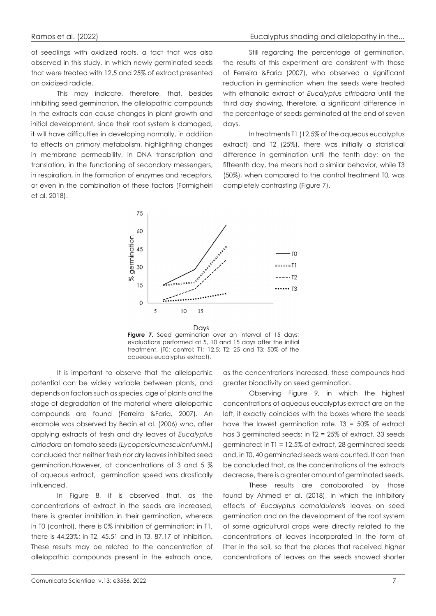of seedlings with oxidized roots, a fact that was also observed in this study, in which newly germinated seeds that were treated with 12.5 and 25% of extract presented an oxidized radicle.

This may indicate, therefore, that, besides inhibiting seed germination, the allelopathic compounds in the extracts can cause changes in plant growth and initial development, since their root system is damaged, it will have difficulties in developing normally, in addition to effects on primary metabolism, highlighting changes in membrane permeability, in DNA transcription and translation, in the functioning of secondary messengers, in respiration, in the formation of enzymes and receptors, or even in the combination of these factors (Formigheiri et al. 2018).

Still regarding the percentage of germination, the results of this experiment are consistent with those of Ferreira &Faria (2007), who observed a significant reduction in germination when the seeds were treated with ethanolic extract of *Eucalyptus citriodora* until the third day showing, therefore, a significant difference in the percentage of seeds germinated at the end of seven days.

In treatments T1 (12.5% of the aqueous eucalyptus extract) and T2 (25%), there was initially a statistical difference in germination until the tenth day; on the fifteenth day, the means had a similar behavior, while T3 (50%), when compared to the control treatment T0, was completely contrasting (Figure 7).





**Figure 7.** Seed germination over an interval of 15 days; evaluations performed at 5, 10 and 15 days after the initial treatment. (T0: control; T1: 12.5; T2: 25 and T3: 50% of the aqueous eucalyptus extract).

It is important to observe that the allelopathic potential can be widely variable between plants, and depends on factors such as species, age of plants and the stage of degradation of the material where allelopathic compounds are found (Ferreira &Faria, 2007). An example was observed by Bedin et al. (2006) who, after applying extracts of fresh and dry leaves of *Eucalyptus citriodora* on tomato seeds (*Lycopersicumesculentum*M.) concluded that neither fresh nor dry leaves inhibited seed germination.However, at concentrations of 3 and 5 % of aqueous extract, germination speed was drastically influenced.

In Figure 8, it is observed that, as the concentrations of extract in the seeds are increased, there is greater inhibition in their germination, whereas in T0 (control), there is 0% inhibition of germination; in T1, there is 44.23%; in T2, 45.51 and in T3, 87.17 of inhibition. These results may be related to the concentration of allelopathic compounds present in the extracts once,

as the concentrations increased, these compounds had greater bioactivity on seed germination.

Observing Figure 9, in which the highest concentrations of aqueous eucalyptus extract are on the left, it exactly coincides with the boxes where the seeds have the lowest germination rate.  $T3 = 50\%$  of extract has 3 germinated seeds; in T2 = 25% of extract, 33 seeds germinated; in T1 = 12.5% of extract, 28 germinated seeds and, in T0, 40 germinated seeds were counted. It can then be concluded that, as the concentrations of the extracts decrease, there is a greater amount of germinated seeds.

These results are corroborated by those found by Ahmed et al. (2018), in which the inhibitory effects of *Eucalyptus camaldulensis* leaves on seed germination and on the development of the root system of some agricultural crops were directly related to the concentrations of leaves incorporated in the form of litter in the soil, so that the places that received higher concentrations of leaves on the seeds showed shorter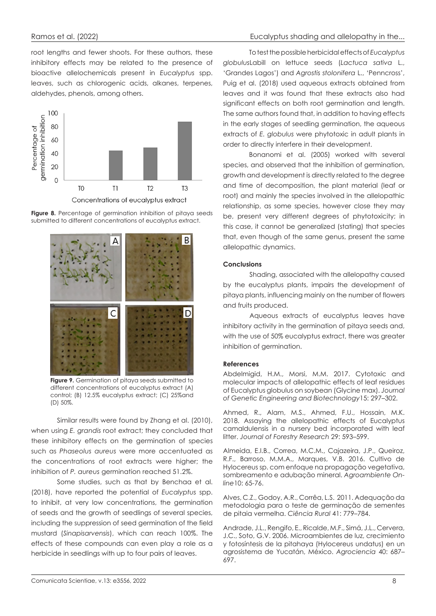root lengths and fewer shoots. For these authors, these inhibitory effects may be related to the presence of bioactive allelochemicals present in *Eucalyptus* spp. leaves, such as chlorogenic acids, alkanes, terpenes, aldehydes, phenols, among others.







**Figure 9.** Germination of pitaya seeds submitted to different concentrations of eucalyptus extract (A) control; (B) 12.5% eucalyptus extract; (C) 25%and (D) 50%.

Similar results were found by Zhang et al. (2010), when using *E. grandis* root extract; they concluded that these inhibitory effects on the germination of species such as *Phaseolus aureus* were more accentuated as the concentrations of root extracts were higher; the inhibition of *P. aureus* germination reached 51.2%.

Some studies, such as that by Benchaa et al. (2018), have reported the potential of *Eucalyptus* spp. to inhibit, at very low concentrations, the germination of seeds and the growth of seedlings of several species, including the suppression of seed germination of the field mustard (*Sinapisarvensis*), which can reach 100%. The effects of these compounds can even play a role as a herbicide in seedlings with up to four pairs of leaves.

To test the possible herbicidal effects of *Eucalyptus globulus*Labill on lettuce seeds (*Lactuca sativa* L., 'Grandes Lagos') and *Agrostis stolonifera* L., 'Penncross', Puig et al. (2018) used aqueous extracts obtained from leaves and it was found that these extracts also had significant effects on both root germination and length. The same authors found that, in addition to having effects in the early stages of seedling germination, the aqueous extracts of *E. globulus* were phytotoxic in adult plants in order to directly interfere in their development.

Bonanomi et al. (2005) worked with several species, and observed that the inhibition of germination, growth and development is directly related to the degree and time of decomposition, the plant material (leaf or root) and mainly the species involved in the allelopathic relationship, as some species, however close they may be, present very different degrees of phytotoxicity; in this case, it cannot be generalized (stating) that species that, even though of the same genus, present the same allelopathic dynamics.

### **Conclusions**

Shading, associated with the allelopathy caused by the eucalyptus plants, impairs the development of pitaya plants, influencing mainly on the number of flowers and fruits produced.

Aqueous extracts of eucalyptus leaves have inhibitory activity in the germination of pitaya seeds and, with the use of 50% eucalyptus extract, there was greater inhibition of germination.

#### **References**

Abdelmigid, H.M., Morsi, M.M. 2017. Cytotoxic and molecular impacts of allelopathic effects of leaf residues of Eucalyptus globulus on soybean (Glycine max). *Journal of Genetic Engineering and Biotechnology*15: 297–302.

Ahmed, R., Alam, M.S., Ahmed, F.U., Hossain, M.K. 2018. Assaying the allelopathic effects of Eucalyptus camaldulensis in a nursery bed incorporated with leaf litter. *Journal of Forestry Research* 29: 593–599.

Almeida, E.I.B., Correa, M.C.M., Cajazeira, J.P., Queiroz, R.F., Barroso, M.M.A., Marques, V.B. 2016. Cultivo de Hylocereus sp. com enfoque na propagação vegetativa, sombreamento e adubação mineral. *Agroambiente Online*10: 65-76.

Alves, C.Z., Godoy, A.R., Corrêa, L.S. 2011. Adequação da metodologia para o teste de germinação de sementes de pitaia vermelha. *Ciência Rural* 41: 779–784.

Andrade, J.L., Rengifo, E., Ricalde, M.F., Simá, J.L., Cervera, J.C., Soto, G.V. 2006. Microambientes de luz, crecimiento y fotosíntesis de la pitahaya (Hylocereus undatus) en un agrosistema de Yucatán, México. *Agrociencia* 40: 687– 697.